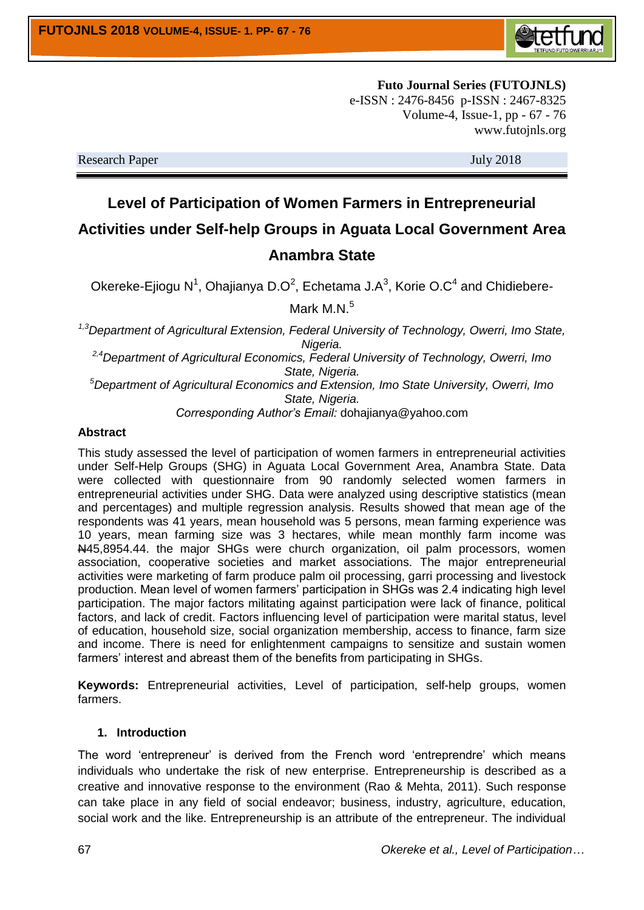

**Futo Journal Series (FUTOJNLS)** e-ISSN : 2476-8456 p-ISSN : 2467-8325 Volume-4, Issue-1, pp - 67 - 76 www.futojnls.org

Research Paper July 2018

# **Level of Participation of Women Farmers in Entrepreneurial Activities under Self-help Groups in Aguata Local Government Area Anambra State**

Okereke-Ejiogu N<sup>1</sup>, Ohajianya D.O<sup>2</sup>, Echetama J.A<sup>3</sup>, Korie O.C<sup>4</sup> and Chidiebere-Mark M.N.<sup>5</sup>

*1,3Department of Agricultural Extension, Federal University of Technology, Owerri, Imo State, Nigeria.*

*2,4Department of Agricultural Economics, Federal University of Technology, Owerri, Imo State, Nigeria.*

*<sup>5</sup>Department of Agricultural Economics and Extension, Imo State University, Owerri, Imo State, Nigeria.*

*Corresponding Author's Email:* dohajianya@yahoo.com

#### **Abstract**

This study assessed the level of participation of women farmers in entrepreneurial activities under Self-Help Groups (SHG) in Aguata Local Government Area, Anambra State. Data were collected with questionnaire from 90 randomly selected women farmers in entrepreneurial activities under SHG. Data were analyzed using descriptive statistics (mean and percentages) and multiple regression analysis. Results showed that mean age of the respondents was 41 years, mean household was 5 persons, mean farming experience was 10 years, mean farming size was 3 hectares, while mean monthly farm income was N45,8954.44. the major SHGs were church organization, oil palm processors, women association, cooperative societies and market associations. The major entrepreneurial activities were marketing of farm produce palm oil processing, garri processing and livestock production. Mean level of women farmers' participation in SHGs was 2.4 indicating high level participation. The major factors militating against participation were lack of finance, political factors, and lack of credit. Factors influencing level of participation were marital status, level of education, household size, social organization membership, access to finance, farm size and income. There is need for enlightenment campaigns to sensitize and sustain women farmers' interest and abreast them of the benefits from participating in SHGs.

**Keywords:** Entrepreneurial activities, Level of participation, self-help groups, women farmers.

# **1. Introduction**

The word 'entrepreneur' is derived from the French word 'entreprendre' which means individuals who undertake the risk of new enterprise. Entrepreneurship is described as a creative and innovative response to the environment (Rao & Mehta, 2011). Such response can take place in any field of social endeavor; business, industry, agriculture, education, social work and the like. Entrepreneurship is an attribute of the entrepreneur. The individual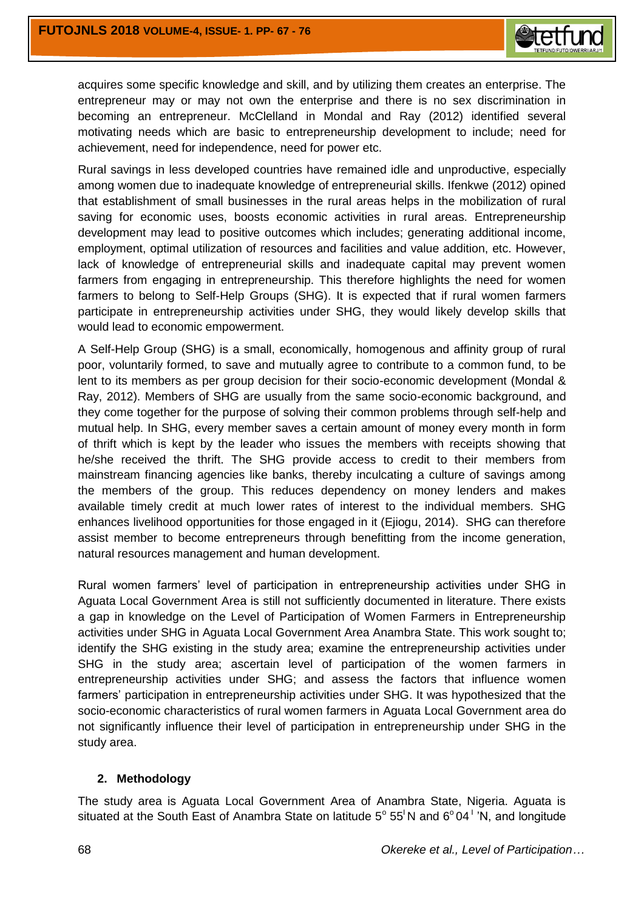

acquires some specific knowledge and skill, and by utilizing them creates an enterprise. The entrepreneur may or may not own the enterprise and there is no sex discrimination in becoming an entrepreneur. McClelland in Mondal and Ray (2012) identified several motivating needs which are basic to entrepreneurship development to include; need for achievement, need for independence, need for power etc.

Rural savings in less developed countries have remained idle and unproductive, especially among women due to inadequate knowledge of entrepreneurial skills. Ifenkwe (2012) opined that establishment of small businesses in the rural areas helps in the mobilization of rural saving for economic uses, boosts economic activities in rural areas. Entrepreneurship development may lead to positive outcomes which includes; generating additional income, employment, optimal utilization of resources and facilities and value addition, etc. However, lack of knowledge of entrepreneurial skills and inadequate capital may prevent women farmers from engaging in entrepreneurship. This therefore highlights the need for women farmers to belong to Self-Help Groups (SHG). It is expected that if rural women farmers participate in entrepreneurship activities under SHG, they would likely develop skills that would lead to economic empowerment.

A Self-Help Group (SHG) is a small, economically, homogenous and affinity group of rural poor, voluntarily formed, to save and mutually agree to contribute to a common fund, to be lent to its members as per group decision for their socio-economic development (Mondal & Ray, 2012). Members of SHG are usually from the same socio-economic background, and they come together for the purpose of solving their common problems through self-help and mutual help. In SHG, every member saves a certain amount of money every month in form of thrift which is kept by the leader who issues the members with receipts showing that he/she received the thrift. The SHG provide access to credit to their members from mainstream financing agencies like banks, thereby inculcating a culture of savings among the members of the group. This reduces dependency on money lenders and makes available timely credit at much lower rates of interest to the individual members. SHG enhances livelihood opportunities for those engaged in it (Ejiogu, 2014). SHG can therefore assist member to become entrepreneurs through benefitting from the income generation, natural resources management and human development.

Rural women farmers' level of participation in entrepreneurship activities under SHG in Aguata Local Government Area is still not sufficiently documented in literature. There exists a gap in knowledge on the Level of Participation of Women Farmers in Entrepreneurship activities under SHG in Aguata Local Government Area Anambra State. This work sought to; identify the SHG existing in the study area; examine the entrepreneurship activities under SHG in the study area; ascertain level of participation of the women farmers in entrepreneurship activities under SHG; and assess the factors that influence women farmers' participation in entrepreneurship activities under SHG. It was hypothesized that the socio-economic characteristics of rural women farmers in Aguata Local Government area do not significantly influence their level of participation in entrepreneurship under SHG in the study area.

## **2. Methodology**

The study area is Aguata Local Government Area of Anambra State, Nigeria. Aguata is situated at the South East of Anambra State on latitude  $5^{\circ}$  55<sup>1</sup>N and  $6^{\circ}$  04<sup>1</sup> 'N, and longitude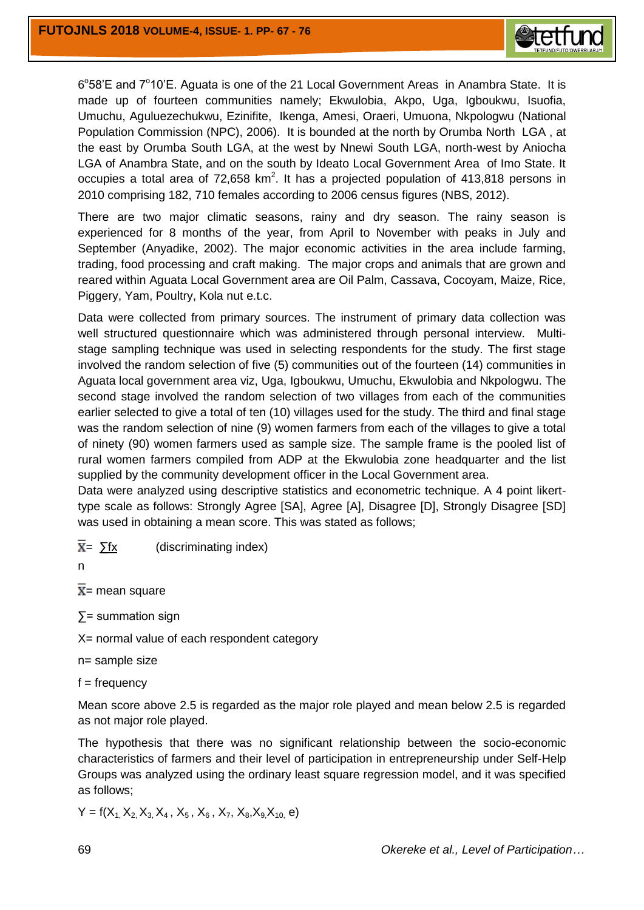

6°58'E and 7°10'E. Aguata is one of the 21 Local Government Areas in Anambra State. It is made up of fourteen communities namely; Ekwulobia, Akpo, Uga, Igboukwu, Isuofia, Umuchu, Aguluezechukwu, Ezinifite, Ikenga, Amesi, Oraeri, Umuona, Nkpologwu (National Population Commission (NPC), 2006). It is bounded at the north by Orumba North LGA , at the east by Orumba South LGA, at the west by Nnewi South LGA, north-west by Aniocha LGA of Anambra State, and on the south by Ideato Local Government Area of Imo State. It occupies a total area of  $72,658$  km<sup>2</sup>. It has a projected population of  $413,818$  persons in 2010 comprising 182, 710 females according to 2006 census figures (NBS, 2012).

There are two major climatic seasons, rainy and dry season. The rainy season is experienced for 8 months of the year, from April to November with peaks in July and September (Anyadike, 2002). The major economic activities in the area include farming, trading, food processing and craft making. The major crops and animals that are grown and reared within Aguata Local Government area are Oil Palm, Cassava, Cocoyam, Maize, Rice, Piggery, Yam, Poultry, Kola nut e.t.c.

Data were collected from primary sources. The instrument of primary data collection was well structured questionnaire which was administered through personal interview. Multistage sampling technique was used in selecting respondents for the study. The first stage involved the random selection of five (5) communities out of the fourteen (14) communities in Aguata local government area viz, Uga, Igboukwu, Umuchu, Ekwulobia and Nkpologwu. The second stage involved the random selection of two villages from each of the communities earlier selected to give a total of ten (10) villages used for the study. The third and final stage was the random selection of nine (9) women farmers from each of the villages to give a total of ninety (90) women farmers used as sample size. The sample frame is the pooled list of rural women farmers compiled from ADP at the Ekwulobia zone headquarter and the list supplied by the community development officer in the Local Government area.

Data were analyzed using descriptive statistics and econometric technique. A 4 point likerttype scale as follows: Strongly Agree [SA], Agree [A], Disagree [D], Strongly Disagree [SD] was used in obtaining a mean score. This was stated as follows;

 $\overline{X}$  =  $\sum$ fx (discriminating index)

n

 $\overline{X}$  = mean square

∑= summation sign

X= normal value of each respondent category

n= sample size

 $f = frequency$ 

Mean score above 2.5 is regarded as the major role played and mean below 2.5 is regarded as not major role played.

The hypothesis that there was no significant relationship between the socio-economic characteristics of farmers and their level of participation in entrepreneurship under Self-Help Groups was analyzed using the ordinary least square regression model, and it was specified as follows;

$$
Y = f(X_1, X_2, X_3, X_4, X_5, X_6, X_7, X_8, X_9, X_{10}, e)
$$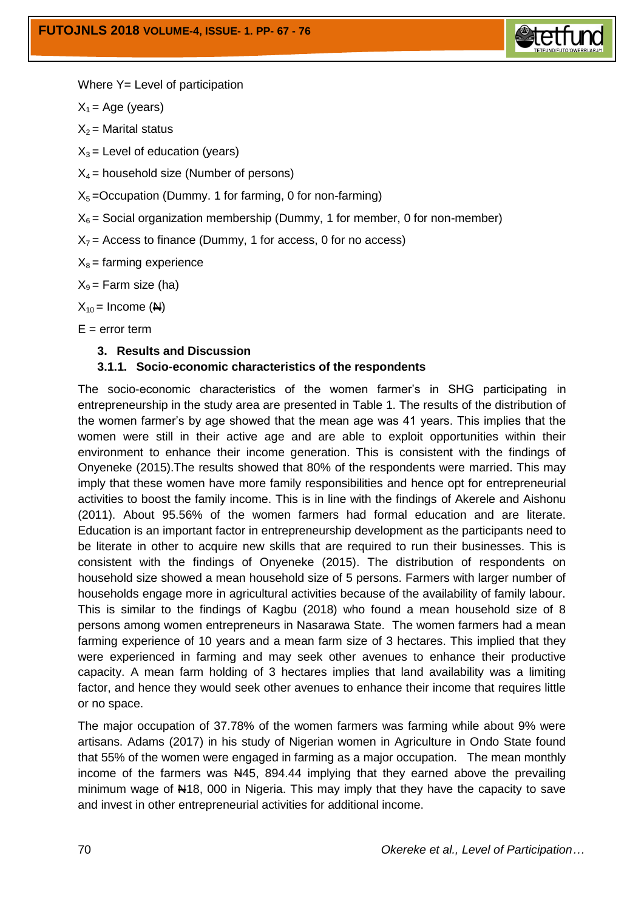

Where Y= Level of participation

 $X_1$  = Age (years)

 $X_2$  = Marital status

 $X_3$  = Level of education (years)

 $X_4$  = household size (Number of persons)

 $X<sub>5</sub>$  =Occupation (Dummy. 1 for farming, 0 for non-farming)

 $X_6$  = Social organization membership (Dummy, 1 for member, 0 for non-member)

 $X_7$  = Access to finance (Dummy, 1 for access, 0 for no access)

 $X_8$  = farming experience

 $X_9$  = Farm size (ha)

 $X_{10}$  = Income (N)

 $E =$  error term

## **3. Results and Discussion**

## **3.1.1. Socio-economic characteristics of the respondents**

The socio-economic characteristics of the women farmer's in SHG participating in entrepreneurship in the study area are presented in Table 1. The results of the distribution of the women farmer's by age showed that the mean age was 41 years. This implies that the women were still in their active age and are able to exploit opportunities within their environment to enhance their income generation. This is consistent with the findings of Onyeneke (2015).The results showed that 80% of the respondents were married. This may imply that these women have more family responsibilities and hence opt for entrepreneurial activities to boost the family income. This is in line with the findings of Akerele and Aishonu (2011). About 95.56% of the women farmers had formal education and are literate. Education is an important factor in entrepreneurship development as the participants need to be literate in other to acquire new skills that are required to run their businesses. This is consistent with the findings of Onyeneke (2015). The distribution of respondents on household size showed a mean household size of 5 persons. Farmers with larger number of households engage more in agricultural activities because of the availability of family labour. This is similar to the findings of Kagbu (2018) who found a mean household size of 8 persons among women entrepreneurs in Nasarawa State. The women farmers had a mean farming experience of 10 years and a mean farm size of 3 hectares. This implied that they were experienced in farming and may seek other avenues to enhance their productive capacity. A mean farm holding of 3 hectares implies that land availability was a limiting factor, and hence they would seek other avenues to enhance their income that requires little or no space.

The major occupation of 37.78% of the women farmers was farming while about 9% were artisans. Adams (2017) in his study of Nigerian women in Agriculture in Ondo State found that 55% of the women were engaged in farming as a major occupation. The mean monthly income of the farmers was  $\frac{145}{100}$ , 894.44 implying that they earned above the prevailing minimum wage of N18, 000 in Nigeria. This may imply that they have the capacity to save and invest in other entrepreneurial activities for additional income.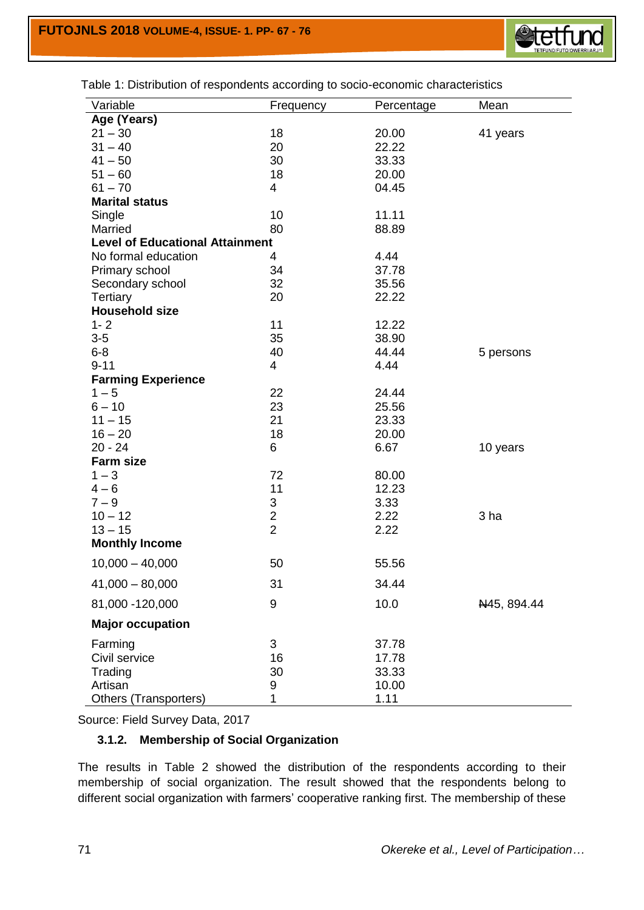

Table 1: Distribution of respondents according to socio-economic characteristics

| Variable                               | Frequency               | Percentage | Mean        |
|----------------------------------------|-------------------------|------------|-------------|
| Age (Years)                            |                         |            |             |
| $21 - 30$                              | 18                      | 20.00      | 41 years    |
| $31 - 40$                              | 20                      | 22.22      |             |
| $41 - 50$                              | 30                      | 33.33      |             |
| $51 - 60$                              | 18                      | 20.00      |             |
| $61 - 70$                              | 4                       | 04.45      |             |
| <b>Marital status</b>                  |                         |            |             |
| Single                                 | 10                      | 11.11      |             |
| Married                                | 80                      | 88.89      |             |
| <b>Level of Educational Attainment</b> |                         |            |             |
| No formal education                    | 4                       | 4.44       |             |
| Primary school                         | 34                      | 37.78      |             |
| Secondary school                       | 32                      | 35.56      |             |
| Tertiary                               | 20                      | 22.22      |             |
| <b>Household size</b>                  |                         |            |             |
| $1 - 2$                                | 11                      | 12.22      |             |
| $3-5$                                  | 35                      | 38.90      |             |
| $6 - 8$                                | 40                      | 44.44      | 5 persons   |
| $9 - 11$                               | 4                       | 4.44       |             |
| <b>Farming Experience</b>              |                         |            |             |
| $1 - 5$                                | 22                      | 24.44      |             |
| $6 - 10$                               | 23                      | 25.56      |             |
| $11 - 15$                              | 21                      | 23.33      |             |
| $16 - 20$                              | 18                      | 20.00      |             |
| $20 - 24$                              | 6                       | 6.67       | 10 years    |
| <b>Farm size</b>                       |                         |            |             |
| $1 - 3$                                | 72                      | 80.00      |             |
| $4 - 6$                                | 11                      | 12.23      |             |
| $7 - 9$                                | 3                       | 3.33       |             |
| $10 - 12$                              | $\overline{\mathbf{c}}$ | 2.22       | 3 ha        |
| $13 - 15$                              | $\overline{2}$          | 2.22       |             |
| <b>Monthly Income</b>                  |                         |            |             |
| $10,000 - 40,000$                      | 50                      | 55.56      |             |
| $41,000 - 80,000$                      | 31                      | 34.44      |             |
| 81,000 - 120,000                       | 9                       | 10.0       | N45, 894.44 |
| <b>Major occupation</b>                |                         |            |             |
| Farming                                | 3                       | 37.78      |             |
| Civil service                          | 16                      | 17.78      |             |
| Trading                                | 30                      | 33.33      |             |
| Artisan                                | 9                       | 10.00      |             |
| Others (Transporters)                  | 1                       | 1.11       |             |

Source: Field Survey Data, 2017

## **3.1.2. Membership of Social Organization**

The results in Table 2 showed the distribution of the respondents according to their membership of social organization. The result showed that the respondents belong to different social organization with farmers' cooperative ranking first. The membership of these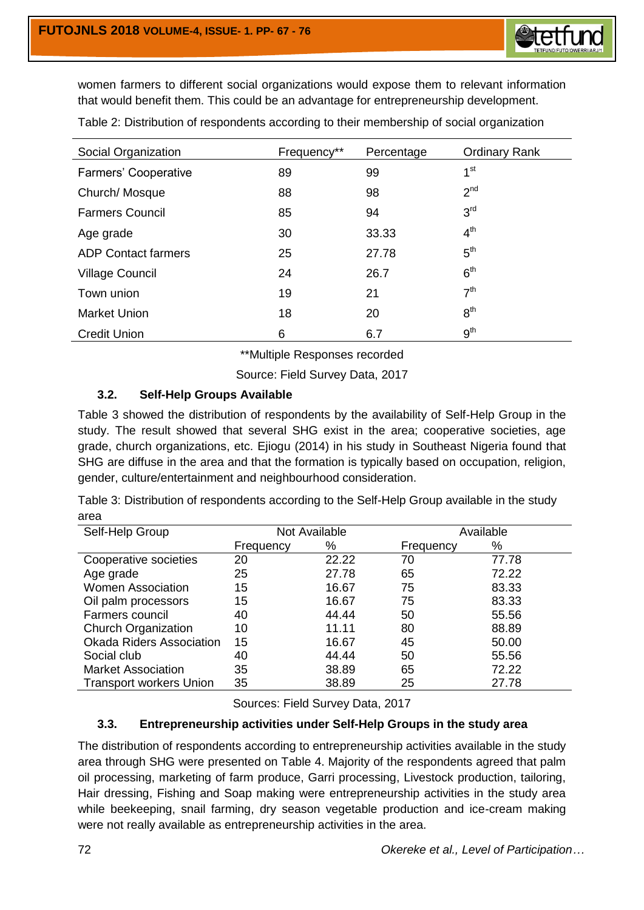

women farmers to different social organizations would expose them to relevant information that would benefit them. This could be an advantage for entrepreneurship development.

| Social Organization        | Frequency** | Percentage | <b>Ordinary Rank</b> |
|----------------------------|-------------|------------|----------------------|
| Farmers' Cooperative       | 89          | 99         | 1 <sup>st</sup>      |
| Church/Mosque              | 88          | 98         | 2 <sup>nd</sup>      |
| <b>Farmers Council</b>     | 85          | 94         | 3 <sup>rd</sup>      |
| Age grade                  | 30          | 33.33      | $4^{\text{th}}$      |
| <b>ADP Contact farmers</b> | 25          | 27.78      | 5 <sup>th</sup>      |
| <b>Village Council</b>     | 24          | 26.7       | 6 <sup>th</sup>      |
| Town union                 | 19          | 21         | 7 <sup>th</sup>      |
| Market Union               | 18          | 20         | 8 <sup>th</sup>      |
| <b>Credit Union</b>        | 6           | 6.7        | 9 <sup>th</sup>      |

Table 2: Distribution of respondents according to their membership of social organization

\*\*Multiple Responses recorded

Source: Field Survey Data, 2017

# **3.2. Self-Help Groups Available**

Table 3 showed the distribution of respondents by the availability of Self-Help Group in the study. The result showed that several SHG exist in the area; cooperative societies, age grade, church organizations, etc. Ejiogu (2014) in his study in Southeast Nigeria found that SHG are diffuse in the area and that the formation is typically based on occupation, religion, gender, culture/entertainment and neighbourhood consideration.

Table 3: Distribution of respondents according to the Self-Help Group available in the study area

| Self-Help Group                 |           | Not Available |           | Available |  |  |
|---------------------------------|-----------|---------------|-----------|-----------|--|--|
|                                 | Frequency | %             | Frequency | %         |  |  |
| Cooperative societies           | 20        | 22.22         | 70        | 77.78     |  |  |
| Age grade                       | 25        | 27.78         | 65        | 72.22     |  |  |
| <b>Women Association</b>        | 15        | 16.67         | 75        | 83.33     |  |  |
| Oil palm processors             | 15        | 16.67         | 75        | 83.33     |  |  |
| Farmers council                 | 40        | 44.44         | 50        | 55.56     |  |  |
| <b>Church Organization</b>      | 10        | 11.11         | 80        | 88.89     |  |  |
| <b>Okada Riders Association</b> | 15        | 16.67         | 45        | 50.00     |  |  |
| Social club                     | 40        | 44.44         | 50        | 55.56     |  |  |
| <b>Market Association</b>       | 35        | 38.89         | 65        | 72.22     |  |  |
| <b>Transport workers Union</b>  | 35        | 38.89         | 25        | 27.78     |  |  |

Sources: Field Survey Data, 2017

## **3.3. Entrepreneurship activities under Self-Help Groups in the study area**

The distribution of respondents according to entrepreneurship activities available in the study area through SHG were presented on Table 4. Majority of the respondents agreed that palm oil processing, marketing of farm produce, Garri processing, Livestock production, tailoring, Hair dressing, Fishing and Soap making were entrepreneurship activities in the study area while beekeeping, snail farming, dry season vegetable production and ice-cream making were not really available as entrepreneurship activities in the area.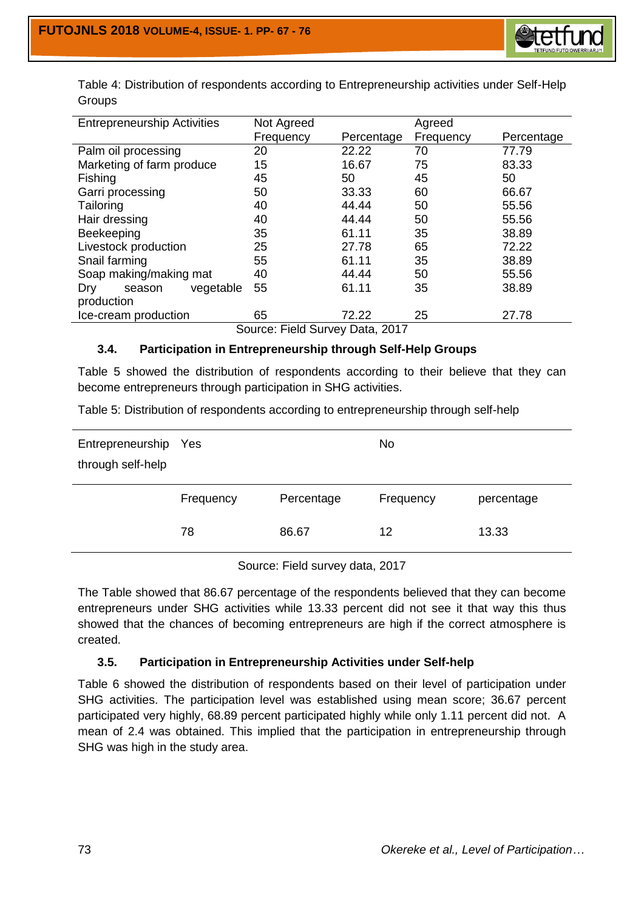

| <b>Entrepreneurship Activities</b> | Not Agreed |            | Agreed    |            |  |  |  |  |
|------------------------------------|------------|------------|-----------|------------|--|--|--|--|
|                                    | Frequency  | Percentage | Frequency | Percentage |  |  |  |  |
| Palm oil processing                | 20         | 22.22      | 70        | 77.79      |  |  |  |  |
| Marketing of farm produce          | 15         | 16.67      | 75        | 83.33      |  |  |  |  |
| <b>Fishing</b>                     | 45         | 50         | 45        | 50         |  |  |  |  |
| Garri processing                   | 50         | 33.33      | 60        | 66.67      |  |  |  |  |
| Tailoring                          | 40         | 44.44      | 50        | 55.56      |  |  |  |  |
| Hair dressing                      | 40         | 44.44      | 50        | 55.56      |  |  |  |  |
| Beekeeping                         | 35         | 61.11      | 35        | 38.89      |  |  |  |  |
| Livestock production               | 25         | 27.78      | 65        | 72.22      |  |  |  |  |
| Snail farming                      | 55         | 61.11      | 35        | 38.89      |  |  |  |  |
| Soap making/making mat             | 40         | 44.44      | 50        | 55.56      |  |  |  |  |
| vegetable<br>Dry<br>season         | 55         | 61.11      | 35        | 38.89      |  |  |  |  |
| production                         |            |            |           |            |  |  |  |  |
| Ice-cream production               | 65         | 72.22      | 25        | 27.78      |  |  |  |  |
| $\sim\sim\sim\sim$                 |            |            |           |            |  |  |  |  |

Table 4: Distribution of respondents according to Entrepreneurship activities under Self-Help Groups

Source: Field Survey Data, 2017

# **3.4. Participation in Entrepreneurship through Self-Help Groups**

Table 5 showed the distribution of respondents according to their believe that they can become entrepreneurs through participation in SHG activities.

Table 5: Distribution of respondents according to entrepreneurship through self-help

| Entrepreneurship Yes<br>through self-help |           |            | <b>No</b> |            |
|-------------------------------------------|-----------|------------|-----------|------------|
|                                           | Frequency | Percentage | Frequency | percentage |
|                                           | 78        | 86.67      | 12        | 13.33      |
|                                           |           |            |           |            |

Source: Field survey data, 2017

The Table showed that 86.67 percentage of the respondents believed that they can become entrepreneurs under SHG activities while 13.33 percent did not see it that way this thus showed that the chances of becoming entrepreneurs are high if the correct atmosphere is created.

## **3.5. Participation in Entrepreneurship Activities under Self-help**

Table 6 showed the distribution of respondents based on their level of participation under SHG activities. The participation level was established using mean score; 36.67 percent participated very highly, 68.89 percent participated highly while only 1.11 percent did not. A mean of 2.4 was obtained. This implied that the participation in entrepreneurship through SHG was high in the study area.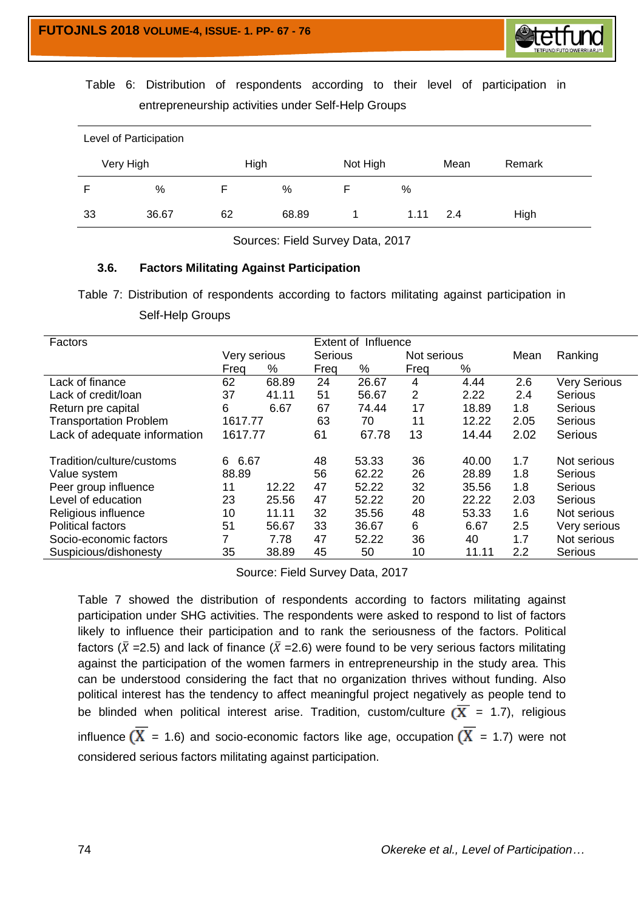

Table 6: Distribution of respondents according to their level of participation in entrepreneurship activities under Self-Help Groups

| Level of Participation |           |      |       |          |      |      |        |  |  |
|------------------------|-----------|------|-------|----------|------|------|--------|--|--|
|                        | Very High | High |       | Not High |      | Mean | Remark |  |  |
|                        | %         |      | %     |          | %    |      |        |  |  |
| 33                     | 36.67     | 62   | 68.89 |          | 1.11 | 2.4  | High   |  |  |

Sources: Field Survey Data, 2017

## **3.6. Factors Militating Against Participation**

Table 7: Distribution of respondents according to factors militating against participation in Self-Help Groups

| Factors                       |              |       | <b>Extent of Influence</b> |                |      |             |      |                     |
|-------------------------------|--------------|-------|----------------------------|----------------|------|-------------|------|---------------------|
|                               | Very serious |       |                            | <b>Serious</b> |      | Not serious |      | Ranking             |
|                               | Freq         | %     | Freq                       | %              | Freq | %           |      |                     |
| Lack of finance               | 62           | 68.89 | 24                         | 26.67          | 4    | 4.44        | 2.6  | <b>Very Serious</b> |
| Lack of credit/loan           | 37           | 41.11 | 51                         | 56.67          | 2    | 2.22        | 2.4  | Serious             |
| Return pre capital            | 6            | 6.67  | 67                         | 74.44          | 17   | 18.89       | 1.8  | Serious             |
| <b>Transportation Problem</b> | 1617.77      |       | 63                         | 70             | 11   | 12.22       | 2.05 | Serious             |
| Lack of adequate information  | 1617.77      |       | 61                         | 67.78          | 13   | 14.44       | 2.02 | <b>Serious</b>      |
| Tradition/culture/customs     | 6.67<br>6    |       | 48                         | 53.33          | 36   | 40.00       | 1.7  | Not serious         |
| Value system                  | 88.89        |       | 56                         | 62.22          | 26   | 28.89       | 1.8  | Serious             |
| Peer group influence          | 11           | 12.22 | 47                         | 52.22          | 32   | 35.56       | 1.8  | Serious             |
| Level of education            | 23           | 25.56 | 47                         | 52.22          | 20   | 22.22       | 2.03 | Serious             |
| Religious influence           | 10           | 11.11 | 32                         | 35.56          | 48   | 53.33       | 1.6  | Not serious         |
| <b>Political factors</b>      | 51           | 56.67 | 33                         | 36.67          | 6    | 6.67        | 2.5  | Very serious        |
| Socio-economic factors        | 7            | 7.78  | 47                         | 52.22          | 36   | 40          | 1.7  | Not serious         |
| Suspicious/dishonesty         | 35           | 38.89 | 45                         | 50             | 10   | 11.11       | 2.2  | Serious             |

Source: Field Survey Data, 2017

Table 7 showed the distribution of respondents according to factors militating against participation under SHG activities. The respondents were asked to respond to list of factors likely to influence their participation and to rank the seriousness of the factors. Political factors ( $\bar{X}$  =2.5) and lack of finance ( $\bar{X}$  =2.6) were found to be very serious factors militating against the participation of the women farmers in entrepreneurship in the study area. This can be understood considering the fact that no organization thrives without funding. Also political interest has the tendency to affect meaningful project negatively as people tend to be blinded when political interest arise. Tradition, custom/culture  $(\overline{X} = 1.7)$ , religious influence  $(\overline{X} = 1.6)$  and socio-economic factors like age, occupation  $(\overline{X} = 1.7)$  were not considered serious factors militating against participation.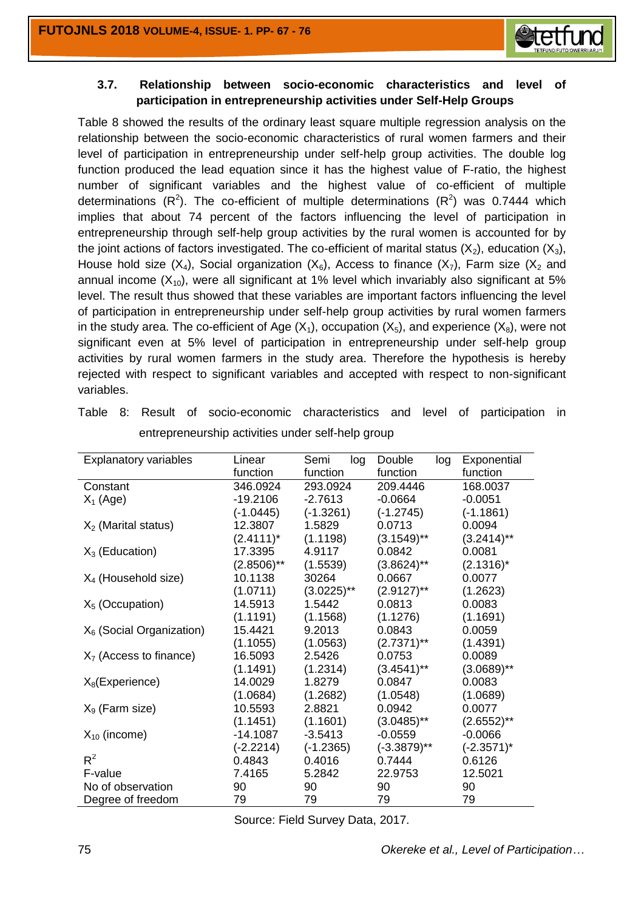

## **3.7. Relationship between socio-economic characteristics and level of participation in entrepreneurship activities under Self-Help Groups**

Table 8 showed the results of the ordinary least square multiple regression analysis on the relationship between the socio-economic characteristics of rural women farmers and their level of participation in entrepreneurship under self-help group activities. The double log function produced the lead equation since it has the highest value of F-ratio, the highest number of significant variables and the highest value of co-efficient of multiple determinations ( $R^2$ ). The co-efficient of multiple determinations ( $R^2$ ) was 0.7444 which implies that about 74 percent of the factors influencing the level of participation in entrepreneurship through self-help group activities by the rural women is accounted for by the joint actions of factors investigated. The co-efficient of marital status  $(X_2)$ , education  $(X_3)$ , House hold size  $(X_4)$ , Social organization  $(X_6)$ , Access to finance  $(X_7)$ , Farm size  $(X_2)$  and annual income  $(X_{10})$ , were all significant at 1% level which invariably also significant at 5% level. The result thus showed that these variables are important factors influencing the level of participation in entrepreneurship under self-help group activities by rural women farmers in the study area. The co-efficient of Age  $(X_1)$ , occupation  $(X_5)$ , and experience  $(X_8)$ , were not significant even at 5% level of participation in entrepreneurship under self-help group activities by rural women farmers in the study area. Therefore the hypothesis is hereby rejected with respect to significant variables and accepted with respect to non-significant variables.

| <b>Explanatory variables</b> | Linear        | Semi<br>log   | Double<br>log  | Exponential   |
|------------------------------|---------------|---------------|----------------|---------------|
|                              | function      | function      | function       | function      |
| Constant                     | 346.0924      | 293.0924      | 209.4446       | 168.0037      |
| $X_1$ (Age)                  | $-19.2106$    | $-2.7613$     | $-0.0664$      | $-0.0051$     |
|                              | $(-1.0445)$   | $(-1.3261)$   | $(-1.2745)$    | $(-1.1861)$   |
| $X_2$ (Marital status)       | 12.3807       | 1.5829        | 0.0713         | 0.0094        |
|                              | $(2.4111)^*$  | (1.1198)      | $(3.1549)$ **  | $(3.2414)$ ** |
| $X_3$ (Education)            | 17.3395       | 4.9117        | 0.0842         | 0.0081        |
|                              | $(2.8506)$ ** | (1.5539)      | $(3.8624)$ **  | $(2.1316)^*$  |
| $X_4$ (Household size)       | 10.1138       | 30264         | 0.0667         | 0.0077        |
|                              | (1.0711)      | $(3.0225)$ ** | $(2.9127)$ **  | (1.2623)      |
| $X5$ (Occupation)            | 14.5913       | 1.5442        | 0.0813         | 0.0083        |
|                              | (1.1191)      | (1.1568)      | (1.1276)       | (1.1691)      |
| $X_6$ (Social Organization)  | 15.4421       | 9.2013        | 0.0843         | 0.0059        |
|                              | (1.1055)      | (1.0563)      | $(2.7371)$ **  | (1.4391)      |
| $X7$ (Access to finance)     | 16.5093       | 2.5426        | 0.0753         | 0.0089        |
|                              | (1.1491)      | (1.2314)      | $(3.4541)$ **  | $(3.0689)$ ** |
| $X_8$ (Experience)           | 14.0029       | 1.8279        | 0.0847         | 0.0083        |
|                              | (1.0684)      | (1.2682)      | (1.0548)       | (1.0689)      |
| $X9$ (Farm size)             | 10.5593       | 2.8821        | 0.0942         | 0.0077        |
|                              | (1.1451)      | (1.1601)      | $(3.0485)$ **  | $(2.6552)$ ** |
| $X_{10}$ (income)            | $-14.1087$    | $-3.5413$     | $-0.0559$      | $-0.0066$     |
|                              | $(-2.2214)$   | $(-1.2365)$   | $(-3.3879)$ ** | $(-2.3571)^*$ |
| $R^2$                        | 0.4843        | 0.4016        | 0.7444         | 0.6126        |
| F-value                      | 7.4165        | 5.2842        | 22.9753        | 12.5021       |
| No of observation            | 90            | 90            | 90             | 90            |
| Degree of freedom            | 79            | 79            | 79             | 79            |

Table 8: Result of socio-economic characteristics and level of participation in entrepreneurship activities under self-help group

Source: Field Survey Data, 2017.